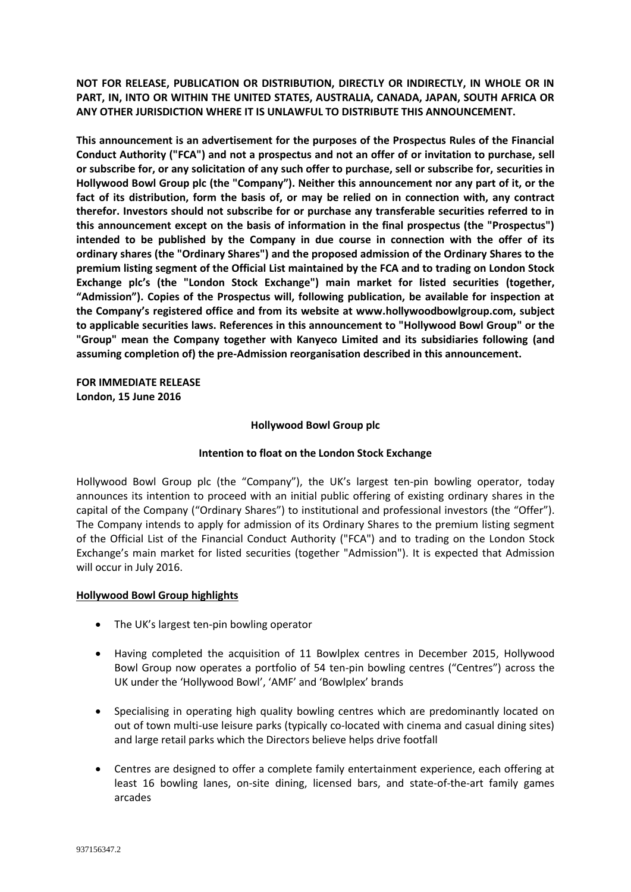**NOT FOR RELEASE, PUBLICATION OR DISTRIBUTION, DIRECTLY OR INDIRECTLY, IN WHOLE OR IN PART, IN, INTO OR WITHIN THE UNITED STATES, AUSTRALIA, CANADA, JAPAN, SOUTH AFRICA OR ANY OTHER JURISDICTION WHERE IT IS UNLAWFUL TO DISTRIBUTE THIS ANNOUNCEMENT.**

**This announcement is an advertisement for the purposes of the Prospectus Rules of the Financial Conduct Authority ("FCA") and not a prospectus and not an offer of or invitation to purchase, sell or subscribe for, or any solicitation of any such offer to purchase, sell or subscribe for, securities in Hollywood Bowl Group plc (the "Company"). Neither this announcement nor any part of it, or the fact of its distribution, form the basis of, or may be relied on in connection with, any contract therefor. Investors should not subscribe for or purchase any transferable securities referred to in this announcement except on the basis of information in the final prospectus (the "Prospectus") intended to be published by the Company in due course in connection with the offer of its ordinary shares (the "Ordinary Shares") and the proposed admission of the Ordinary Shares to the premium listing segment of the Official List maintained by the FCA and to trading on London Stock Exchange plc's (the "London Stock Exchange") main market for listed securities (together, "Admission"). Copies of the Prospectus will, following publication, be available for inspection at the Company's registered office and from its website at www.hollywoodbowlgroup.com, subject to applicable securities laws. References in this announcement to "Hollywood Bowl Group" or the "Group" mean the Company together with Kanyeco Limited and its subsidiaries following (and assuming completion of) the pre-Admission reorganisation described in this announcement.**

**FOR IMMEDIATE RELEASE London, 15 June 2016**

#### **Hollywood Bowl Group plc**

## **Intention to float on the London Stock Exchange**

Hollywood Bowl Group plc (the "Company"), the UK's largest ten-pin bowling operator, today announces its intention to proceed with an initial public offering of existing ordinary shares in the capital of the Company ("Ordinary Shares") to institutional and professional investors (the "Offer"). The Company intends to apply for admission of its Ordinary Shares to the premium listing segment of the Official List of the Financial Conduct Authority ("FCA") and to trading on the London Stock Exchange's main market for listed securities (together "Admission"). It is expected that Admission will occur in July 2016.

#### **Hollywood Bowl Group highlights**

- The UK's largest ten-pin bowling operator
- Having completed the acquisition of 11 Bowlplex centres in December 2015, Hollywood Bowl Group now operates a portfolio of 54 ten-pin bowling centres ("Centres") across the UK under the 'Hollywood Bowl', 'AMF' and 'Bowlplex' brands
- Specialising in operating high quality bowling centres which are predominantly located on out of town multi-use leisure parks (typically co-located with cinema and casual dining sites) and large retail parks which the Directors believe helps drive footfall
- Centres are designed to offer a complete family entertainment experience, each offering at least 16 bowling lanes, on-site dining, licensed bars, and state-of-the-art family games arcades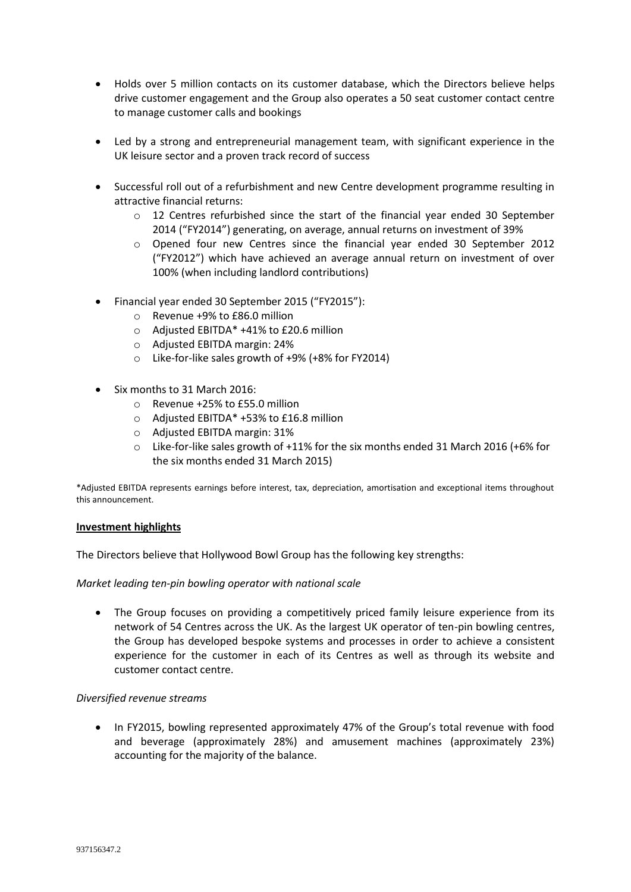- Holds over 5 million contacts on its customer database, which the Directors believe helps drive customer engagement and the Group also operates a 50 seat customer contact centre to manage customer calls and bookings
- Led by a strong and entrepreneurial management team, with significant experience in the UK leisure sector and a proven track record of success
- Successful roll out of a refurbishment and new Centre development programme resulting in attractive financial returns:
	- $\circ$  12 Centres refurbished since the start of the financial year ended 30 September 2014 ("FY2014") generating, on average, annual returns on investment of 39%
	- o Opened four new Centres since the financial year ended 30 September 2012 ("FY2012") which have achieved an average annual return on investment of over 100% (when including landlord contributions)
- Financial year ended 30 September 2015 ("FY2015"):
	- o Revenue +9% to £86.0 million
	- o Adjusted EBITDA\* +41% to £20.6 million
	- o Adjusted EBITDA margin: 24%
	- o Like-for-like sales growth of +9% (+8% for FY2014)
- Six months to 31 March 2016:
	- o Revenue +25% to £55.0 million
	- o Adjusted EBITDA\* +53% to £16.8 million
	- o Adjusted EBITDA margin: 31%
	- $\circ$  Like-for-like sales growth of +11% for the six months ended 31 March 2016 (+6% for the six months ended 31 March 2015)

\*Adjusted EBITDA represents earnings before interest, tax, depreciation, amortisation and exceptional items throughout this announcement.

## **Investment highlights**

The Directors believe that Hollywood Bowl Group has the following key strengths:

## *Market leading ten-pin bowling operator with national scale*

• The Group focuses on providing a competitively priced family leisure experience from its network of 54 Centres across the UK. As the largest UK operator of ten-pin bowling centres, the Group has developed bespoke systems and processes in order to achieve a consistent experience for the customer in each of its Centres as well as through its website and customer contact centre.

## *Diversified revenue streams*

 In FY2015, bowling represented approximately 47% of the Group's total revenue with food and beverage (approximately 28%) and amusement machines (approximately 23%) accounting for the majority of the balance.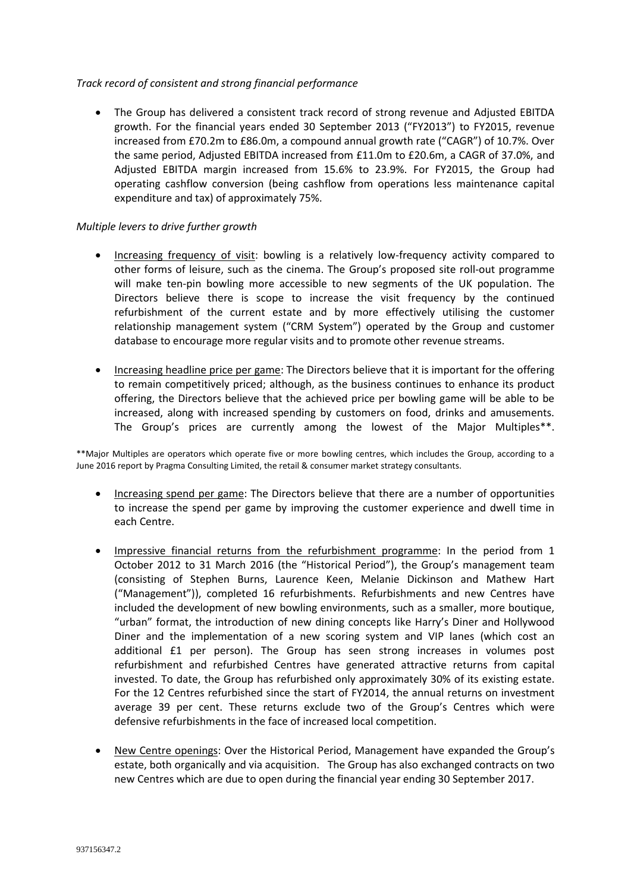# *Track record of consistent and strong financial performance*

 The Group has delivered a consistent track record of strong revenue and Adjusted EBITDA growth. For the financial years ended 30 September 2013 ("FY2013") to FY2015, revenue increased from £70.2m to £86.0m, a compound annual growth rate ("CAGR") of 10.7%. Over the same period, Adjusted EBITDA increased from £11.0m to £20.6m, a CAGR of 37.0%, and Adjusted EBITDA margin increased from 15.6% to 23.9%. For FY2015, the Group had operating cashflow conversion (being cashflow from operations less maintenance capital expenditure and tax) of approximately 75%.

# *Multiple levers to drive further growth*

- Increasing frequency of visit: bowling is a relatively low-frequency activity compared to other forms of leisure, such as the cinema. The Group's proposed site roll-out programme will make ten-pin bowling more accessible to new segments of the UK population. The Directors believe there is scope to increase the visit frequency by the continued refurbishment of the current estate and by more effectively utilising the customer relationship management system ("CRM System") operated by the Group and customer database to encourage more regular visits and to promote other revenue streams.
- Increasing headline price per game: The Directors believe that it is important for the offering to remain competitively priced; although, as the business continues to enhance its product offering, the Directors believe that the achieved price per bowling game will be able to be increased, along with increased spending by customers on food, drinks and amusements. The Group's prices are currently among the lowest of the Major Multiples\*\*.

\*\*Major Multiples are operators which operate five or more bowling centres, which includes the Group, according to a June 2016 report by Pragma Consulting Limited, the retail & consumer market strategy consultants.

- Increasing spend per game: The Directors believe that there are a number of opportunities to increase the spend per game by improving the customer experience and dwell time in each Centre.
- Impressive financial returns from the refurbishment programme: In the period from 1 October 2012 to 31 March 2016 (the "Historical Period"), the Group's management team (consisting of Stephen Burns, Laurence Keen, Melanie Dickinson and Mathew Hart ("Management")), completed 16 refurbishments. Refurbishments and new Centres have included the development of new bowling environments, such as a smaller, more boutique, "urban" format, the introduction of new dining concepts like Harry's Diner and Hollywood Diner and the implementation of a new scoring system and VIP lanes (which cost an additional £1 per person). The Group has seen strong increases in volumes post refurbishment and refurbished Centres have generated attractive returns from capital invested. To date, the Group has refurbished only approximately 30% of its existing estate. For the 12 Centres refurbished since the start of FY2014, the annual returns on investment average 39 per cent. These returns exclude two of the Group's Centres which were defensive refurbishments in the face of increased local competition.
- New Centre openings: Over the Historical Period, Management have expanded the Group's estate, both organically and via acquisition. The Group has also exchanged contracts on two new Centres which are due to open during the financial year ending 30 September 2017.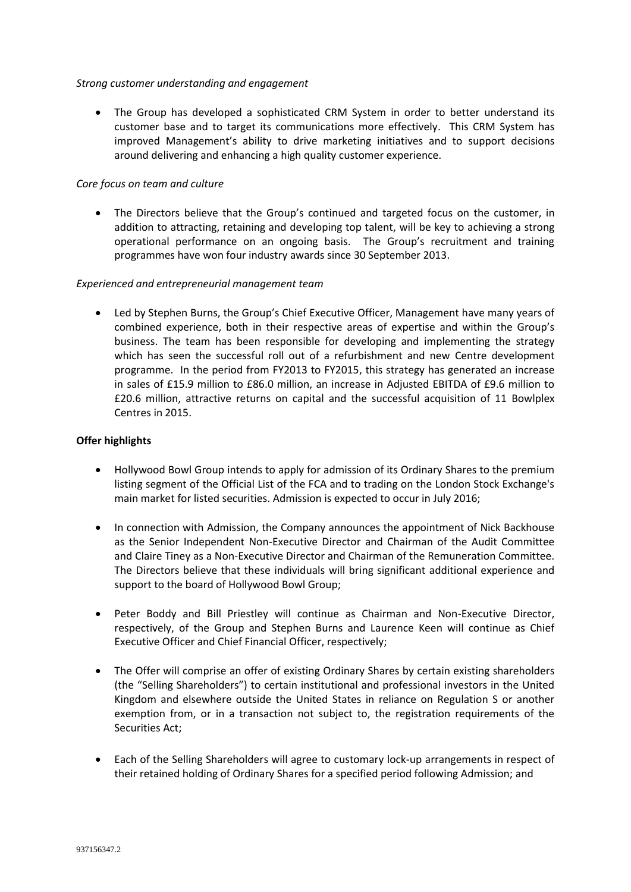### *Strong customer understanding and engagement*

 The Group has developed a sophisticated CRM System in order to better understand its customer base and to target its communications more effectively. This CRM System has improved Management's ability to drive marketing initiatives and to support decisions around delivering and enhancing a high quality customer experience.

## *Core focus on team and culture*

• The Directors believe that the Group's continued and targeted focus on the customer, in addition to attracting, retaining and developing top talent, will be key to achieving a strong operational performance on an ongoing basis. The Group's recruitment and training programmes have won four industry awards since 30 September 2013.

#### *Experienced and entrepreneurial management team*

 Led by Stephen Burns, the Group's Chief Executive Officer, Management have many years of combined experience, both in their respective areas of expertise and within the Group's business. The team has been responsible for developing and implementing the strategy which has seen the successful roll out of a refurbishment and new Centre development programme. In the period from FY2013 to FY2015, this strategy has generated an increase in sales of £15.9 million to £86.0 million, an increase in Adjusted EBITDA of £9.6 million to £20.6 million, attractive returns on capital and the successful acquisition of 11 Bowlplex Centres in 2015.

#### **Offer highlights**

- Hollywood Bowl Group intends to apply for admission of its Ordinary Shares to the premium listing segment of the Official List of the FCA and to trading on the London Stock Exchange's main market for listed securities. Admission is expected to occur in July 2016;
- In connection with Admission, the Company announces the appointment of Nick Backhouse as the Senior Independent Non-Executive Director and Chairman of the Audit Committee and Claire Tiney as a Non-Executive Director and Chairman of the Remuneration Committee. The Directors believe that these individuals will bring significant additional experience and support to the board of Hollywood Bowl Group;
- Peter Boddy and Bill Priestley will continue as Chairman and Non-Executive Director, respectively, of the Group and Stephen Burns and Laurence Keen will continue as Chief Executive Officer and Chief Financial Officer, respectively;
- The Offer will comprise an offer of existing Ordinary Shares by certain existing shareholders (the "Selling Shareholders") to certain institutional and professional investors in the United Kingdom and elsewhere outside the United States in reliance on Regulation S or another exemption from, or in a transaction not subject to, the registration requirements of the Securities Act;
- Each of the Selling Shareholders will agree to customary lock-up arrangements in respect of their retained holding of Ordinary Shares for a specified period following Admission; and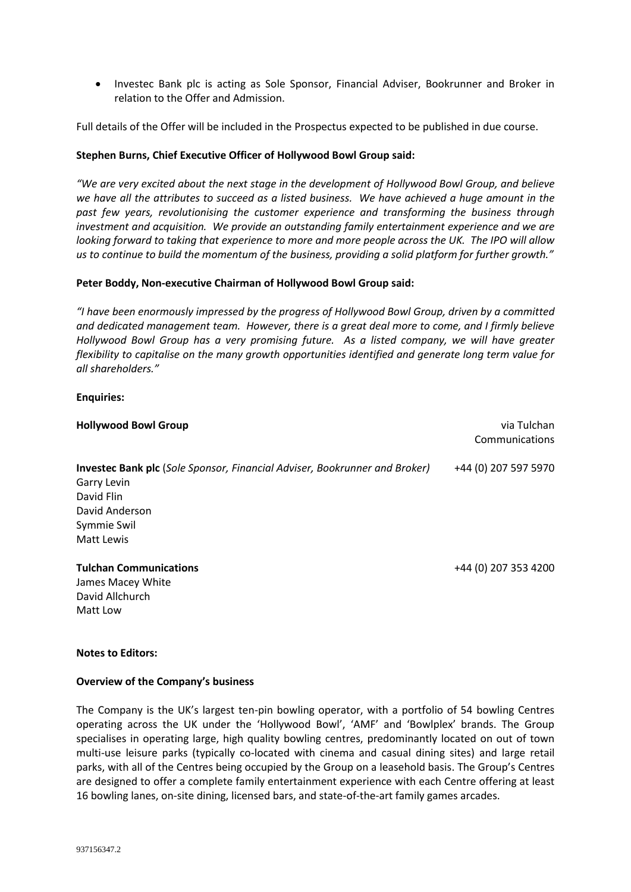• Investec Bank plc is acting as Sole Sponsor, Financial Adviser, Bookrunner and Broker in relation to the Offer and Admission.

Full details of the Offer will be included in the Prospectus expected to be published in due course.

### **Stephen Burns, Chief Executive Officer of Hollywood Bowl Group said:**

*"We are very excited about the next stage in the development of Hollywood Bowl Group, and believe we have all the attributes to succeed as a listed business. We have achieved a huge amount in the past few years, revolutionising the customer experience and transforming the business through investment and acquisition. We provide an outstanding family entertainment experience and we are looking forward to taking that experience to more and more people across the UK. The IPO will allow us to continue to build the momentum of the business, providing a solid platform for further growth."*

#### **Peter Boddy, Non-executive Chairman of Hollywood Bowl Group said:**

*"I have been enormously impressed by the progress of Hollywood Bowl Group, driven by a committed and dedicated management team. However, there is a great deal more to come, and I firmly believe Hollywood Bowl Group has a very promising future. As a listed company, we will have greater flexibility to capitalise on the many growth opportunities identified and generate long term value for all shareholders."* 

#### **Enquiries:**

| <b>Hollywood Bowl Group</b>                                                       | via Tulchan<br>Communications |
|-----------------------------------------------------------------------------------|-------------------------------|
| <b>Investec Bank plc</b> (Sole Sponsor, Financial Adviser, Bookrunner and Broker) | +44 (0) 207 597 5970          |
| Garry Levin                                                                       |                               |
| David Flin                                                                        |                               |
| David Anderson                                                                    |                               |
| Symmie Swil                                                                       |                               |
| Matt Lewis                                                                        |                               |
| <b>Tulchan Communications</b>                                                     | +44 (0) 207 353 4200          |
| James Macey White                                                                 |                               |
| David Allchurch                                                                   |                               |
| Matt Low                                                                          |                               |

#### **Notes to Editors:**

#### **Overview of the Company's business**

The Company is the UK's largest ten-pin bowling operator, with a portfolio of 54 bowling Centres operating across the UK under the 'Hollywood Bowl', 'AMF' and 'Bowlplex' brands. The Group specialises in operating large, high quality bowling centres, predominantly located on out of town multi-use leisure parks (typically co-located with cinema and casual dining sites) and large retail parks, with all of the Centres being occupied by the Group on a leasehold basis. The Group's Centres are designed to offer a complete family entertainment experience with each Centre offering at least 16 bowling lanes, on-site dining, licensed bars, and state-of-the-art family games arcades.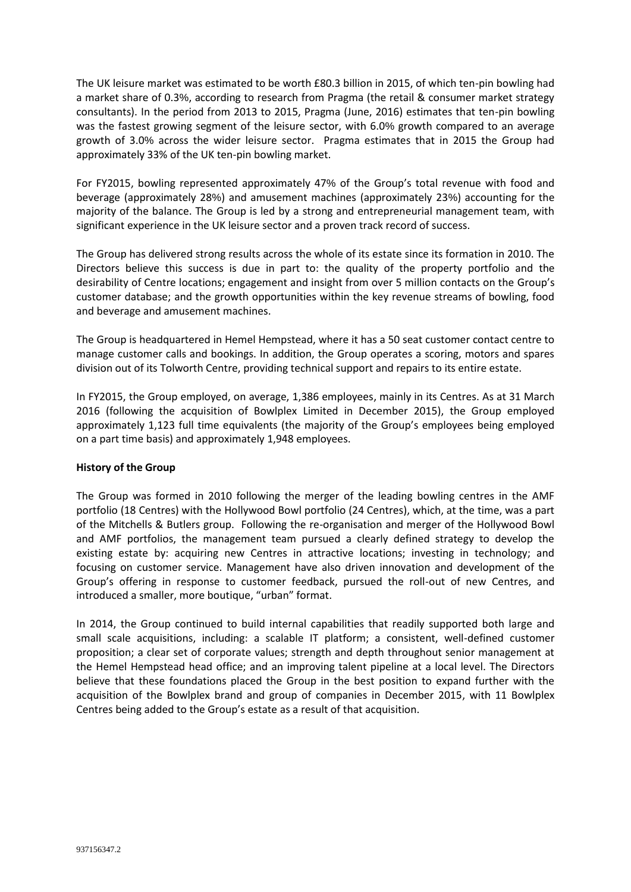The UK leisure market was estimated to be worth £80.3 billion in 2015, of which ten-pin bowling had a market share of 0.3%, according to research from Pragma (the retail & consumer market strategy consultants). In the period from 2013 to 2015, Pragma (June, 2016) estimates that ten-pin bowling was the fastest growing segment of the leisure sector, with 6.0% growth compared to an average growth of 3.0% across the wider leisure sector. Pragma estimates that in 2015 the Group had approximately 33% of the UK ten-pin bowling market.

For FY2015, bowling represented approximately 47% of the Group's total revenue with food and beverage (approximately 28%) and amusement machines (approximately 23%) accounting for the majority of the balance. The Group is led by a strong and entrepreneurial management team, with significant experience in the UK leisure sector and a proven track record of success.

The Group has delivered strong results across the whole of its estate since its formation in 2010. The Directors believe this success is due in part to: the quality of the property portfolio and the desirability of Centre locations; engagement and insight from over 5 million contacts on the Group's customer database; and the growth opportunities within the key revenue streams of bowling, food and beverage and amusement machines.

The Group is headquartered in Hemel Hempstead, where it has a 50 seat customer contact centre to manage customer calls and bookings. In addition, the Group operates a scoring, motors and spares division out of its Tolworth Centre, providing technical support and repairs to its entire estate.

In FY2015, the Group employed, on average, 1,386 employees, mainly in its Centres. As at 31 March 2016 (following the acquisition of Bowlplex Limited in December 2015), the Group employed approximately 1,123 full time equivalents (the majority of the Group's employees being employed on a part time basis) and approximately 1,948 employees.

## **History of the Group**

The Group was formed in 2010 following the merger of the leading bowling centres in the AMF portfolio (18 Centres) with the Hollywood Bowl portfolio (24 Centres), which, at the time, was a part of the Mitchells & Butlers group. Following the re-organisation and merger of the Hollywood Bowl and AMF portfolios, the management team pursued a clearly defined strategy to develop the existing estate by: acquiring new Centres in attractive locations; investing in technology; and focusing on customer service. Management have also driven innovation and development of the Group's offering in response to customer feedback, pursued the roll-out of new Centres, and introduced a smaller, more boutique, "urban" format.

In 2014, the Group continued to build internal capabilities that readily supported both large and small scale acquisitions, including: a scalable IT platform; a consistent, well-defined customer proposition; a clear set of corporate values; strength and depth throughout senior management at the Hemel Hempstead head office; and an improving talent pipeline at a local level. The Directors believe that these foundations placed the Group in the best position to expand further with the acquisition of the Bowlplex brand and group of companies in December 2015, with 11 Bowlplex Centres being added to the Group's estate as a result of that acquisition.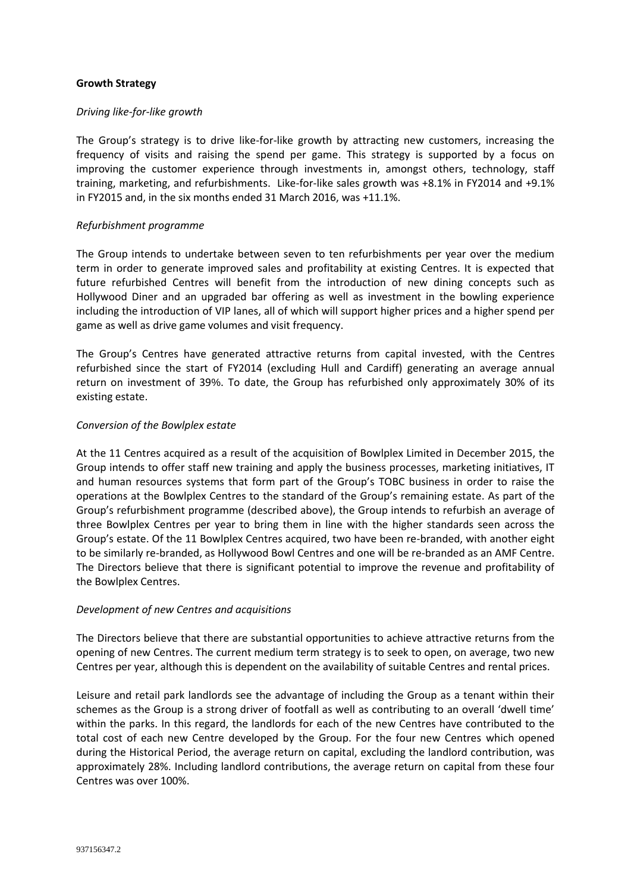## **Growth Strategy**

#### *Driving like-for-like growth*

The Group's strategy is to drive like-for-like growth by attracting new customers, increasing the frequency of visits and raising the spend per game. This strategy is supported by a focus on improving the customer experience through investments in, amongst others, technology, staff training, marketing, and refurbishments. Like-for-like sales growth was +8.1% in FY2014 and +9.1% in FY2015 and, in the six months ended 31 March 2016, was +11.1%.

#### *Refurbishment programme*

The Group intends to undertake between seven to ten refurbishments per year over the medium term in order to generate improved sales and profitability at existing Centres. It is expected that future refurbished Centres will benefit from the introduction of new dining concepts such as Hollywood Diner and an upgraded bar offering as well as investment in the bowling experience including the introduction of VIP lanes, all of which will support higher prices and a higher spend per game as well as drive game volumes and visit frequency.

The Group's Centres have generated attractive returns from capital invested, with the Centres refurbished since the start of FY2014 (excluding Hull and Cardiff) generating an average annual return on investment of 39%. To date, the Group has refurbished only approximately 30% of its existing estate.

#### *Conversion of the Bowlplex estate*

At the 11 Centres acquired as a result of the acquisition of Bowlplex Limited in December 2015, the Group intends to offer staff new training and apply the business processes, marketing initiatives, IT and human resources systems that form part of the Group's TOBC business in order to raise the operations at the Bowlplex Centres to the standard of the Group's remaining estate. As part of the Group's refurbishment programme (described above), the Group intends to refurbish an average of three Bowlplex Centres per year to bring them in line with the higher standards seen across the Group's estate. Of the 11 Bowlplex Centres acquired, two have been re-branded, with another eight to be similarly re-branded, as Hollywood Bowl Centres and one will be re-branded as an AMF Centre. The Directors believe that there is significant potential to improve the revenue and profitability of the Bowlplex Centres.

## *Development of new Centres and acquisitions*

The Directors believe that there are substantial opportunities to achieve attractive returns from the opening of new Centres. The current medium term strategy is to seek to open, on average, two new Centres per year, although this is dependent on the availability of suitable Centres and rental prices.

Leisure and retail park landlords see the advantage of including the Group as a tenant within their schemes as the Group is a strong driver of footfall as well as contributing to an overall 'dwell time' within the parks. In this regard, the landlords for each of the new Centres have contributed to the total cost of each new Centre developed by the Group. For the four new Centres which opened during the Historical Period, the average return on capital, excluding the landlord contribution, was approximately 28%. Including landlord contributions, the average return on capital from these four Centres was over 100%.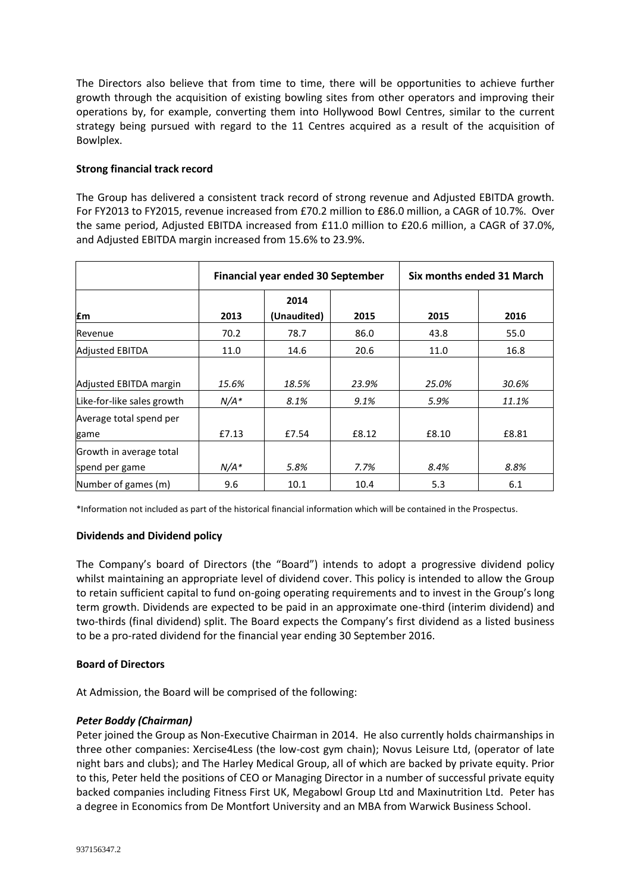The Directors also believe that from time to time, there will be opportunities to achieve further growth through the acquisition of existing bowling sites from other operators and improving their operations by, for example, converting them into Hollywood Bowl Centres, similar to the current strategy being pursued with regard to the 11 Centres acquired as a result of the acquisition of Bowlplex.

# **Strong financial track record**

The Group has delivered a consistent track record of strong revenue and Adjusted EBITDA growth. For FY2013 to FY2015, revenue increased from £70.2 million to £86.0 million, a CAGR of 10.7%. Over the same period, Adjusted EBITDA increased from £11.0 million to £20.6 million, a CAGR of 37.0%, and Adjusted EBITDA margin increased from 15.6% to 23.9%.

|                            | Financial year ended 30 September |             |       | Six months ended 31 March |       |
|----------------------------|-----------------------------------|-------------|-------|---------------------------|-------|
|                            |                                   | 2014        |       |                           |       |
| £m                         | 2013                              | (Unaudited) | 2015  | 2015                      | 2016  |
| Revenue                    | 70.2                              | 78.7        | 86.0  | 43.8                      | 55.0  |
| <b>Adjusted EBITDA</b>     | 11.0                              | 14.6        | 20.6  | 11.0                      | 16.8  |
|                            |                                   |             |       |                           |       |
| Adjusted EBITDA margin     | 15.6%                             | 18.5%       | 23.9% | 25.0%                     | 30.6% |
| Like-for-like sales growth | $N/A*$                            | 8.1%        | 9.1%  | 5.9%                      | 11.1% |
| Average total spend per    |                                   |             |       |                           |       |
| game                       | £7.13                             | £7.54       | £8.12 | £8.10                     | £8.81 |
| Growth in average total    |                                   |             |       |                           |       |
| spend per game             | $N/A*$                            | 5.8%        | 7.7%  | 8.4%                      | 8.8%  |
| Number of games (m)        | 9.6                               | 10.1        | 10.4  | 5.3                       | 6.1   |

\*Information not included as part of the historical financial information which will be contained in the Prospectus.

## **Dividends and Dividend policy**

The Company's board of Directors (the "Board") intends to adopt a progressive dividend policy whilst maintaining an appropriate level of dividend cover. This policy is intended to allow the Group to retain sufficient capital to fund on-going operating requirements and to invest in the Group's long term growth. Dividends are expected to be paid in an approximate one-third (interim dividend) and two-thirds (final dividend) split. The Board expects the Company's first dividend as a listed business to be a pro-rated dividend for the financial year ending 30 September 2016.

## **Board of Directors**

At Admission, the Board will be comprised of the following:

# *Peter Boddy (Chairman)*

Peter joined the Group as Non-Executive Chairman in 2014. He also currently holds chairmanships in three other companies: Xercise4Less (the low-cost gym chain); Novus Leisure Ltd, (operator of late night bars and clubs); and The Harley Medical Group, all of which are backed by private equity. Prior to this, Peter held the positions of CEO or Managing Director in a number of successful private equity backed companies including Fitness First UK, Megabowl Group Ltd and Maxinutrition Ltd. Peter has a degree in Economics from De Montfort University and an MBA from Warwick Business School.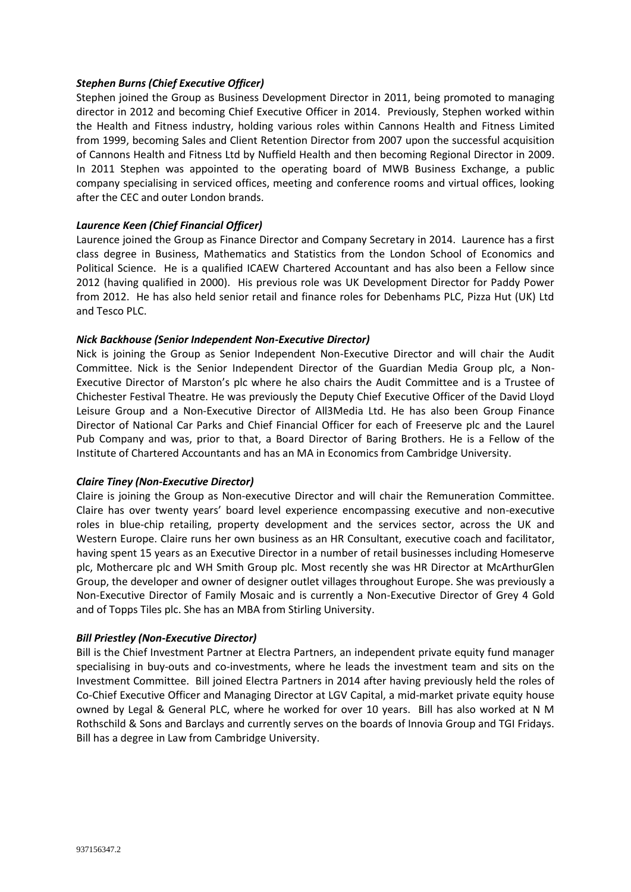## *Stephen Burns (Chief Executive Officer)*

Stephen joined the Group as Business Development Director in 2011, being promoted to managing director in 2012 and becoming Chief Executive Officer in 2014. Previously, Stephen worked within the Health and Fitness industry, holding various roles within Cannons Health and Fitness Limited from 1999, becoming Sales and Client Retention Director from 2007 upon the successful acquisition of Cannons Health and Fitness Ltd by Nuffield Health and then becoming Regional Director in 2009. In 2011 Stephen was appointed to the operating board of MWB Business Exchange, a public company specialising in serviced offices, meeting and conference rooms and virtual offices, looking after the CEC and outer London brands.

# *Laurence Keen (Chief Financial Officer)*

Laurence joined the Group as Finance Director and Company Secretary in 2014. Laurence has a first class degree in Business, Mathematics and Statistics from the London School of Economics and Political Science. He is a qualified ICAEW Chartered Accountant and has also been a Fellow since 2012 (having qualified in 2000). His previous role was UK Development Director for Paddy Power from 2012. He has also held senior retail and finance roles for Debenhams PLC, Pizza Hut (UK) Ltd and Tesco PLC.

# *Nick Backhouse (Senior Independent Non-Executive Director)*

Nick is joining the Group as Senior Independent Non-Executive Director and will chair the Audit Committee. Nick is the Senior Independent Director of the Guardian Media Group plc, a Non-Executive Director of Marston's plc where he also chairs the Audit Committee and is a Trustee of Chichester Festival Theatre. He was previously the Deputy Chief Executive Officer of the David Lloyd Leisure Group and a Non-Executive Director of All3Media Ltd. He has also been Group Finance Director of National Car Parks and Chief Financial Officer for each of Freeserve plc and the Laurel Pub Company and was, prior to that, a Board Director of Baring Brothers. He is a Fellow of the Institute of Chartered Accountants and has an MA in Economics from Cambridge University.

## *Claire Tiney (Non-Executive Director)*

Claire is joining the Group as Non-executive Director and will chair the Remuneration Committee. Claire has over twenty years' board level experience encompassing executive and non-executive roles in blue-chip retailing, property development and the services sector, across the UK and Western Europe. Claire runs her own business as an HR Consultant, executive coach and facilitator, having spent 15 years as an Executive Director in a number of retail businesses including Homeserve plc, Mothercare plc and WH Smith Group plc. Most recently she was HR Director at McArthurGlen Group, the developer and owner of designer outlet villages throughout Europe. She was previously a Non-Executive Director of Family Mosaic and is currently a Non-Executive Director of Grey 4 Gold and of Topps Tiles plc. She has an MBA from Stirling University.

## *Bill Priestley (Non-Executive Director)*

Bill is the Chief Investment Partner at Electra Partners, an independent private equity fund manager specialising in buy-outs and co-investments, where he leads the investment team and sits on the Investment Committee. Bill joined Electra Partners in 2014 after having previously held the roles of Co-Chief Executive Officer and Managing Director at LGV Capital, a mid-market private equity house owned by Legal & General PLC, where he worked for over 10 years. Bill has also worked at N M Rothschild & Sons and Barclays and currently serves on the boards of Innovia Group and TGI Fridays. Bill has a degree in Law from Cambridge University.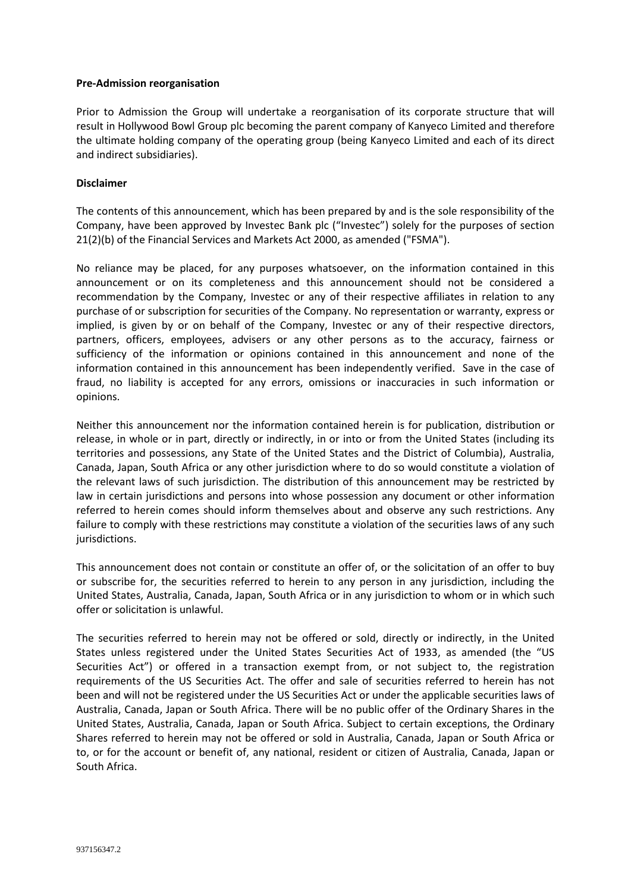#### **Pre-Admission reorganisation**

Prior to Admission the Group will undertake a reorganisation of its corporate structure that will result in Hollywood Bowl Group plc becoming the parent company of Kanyeco Limited and therefore the ultimate holding company of the operating group (being Kanyeco Limited and each of its direct and indirect subsidiaries).

### **Disclaimer**

The contents of this announcement, which has been prepared by and is the sole responsibility of the Company, have been approved by Investec Bank plc ("Investec") solely for the purposes of section 21(2)(b) of the Financial Services and Markets Act 2000, as amended ("FSMA").

No reliance may be placed, for any purposes whatsoever, on the information contained in this announcement or on its completeness and this announcement should not be considered a recommendation by the Company, Investec or any of their respective affiliates in relation to any purchase of or subscription for securities of the Company. No representation or warranty, express or implied, is given by or on behalf of the Company, Investec or any of their respective directors, partners, officers, employees, advisers or any other persons as to the accuracy, fairness or sufficiency of the information or opinions contained in this announcement and none of the information contained in this announcement has been independently verified. Save in the case of fraud, no liability is accepted for any errors, omissions or inaccuracies in such information or opinions.

Neither this announcement nor the information contained herein is for publication, distribution or release, in whole or in part, directly or indirectly, in or into or from the United States (including its territories and possessions, any State of the United States and the District of Columbia), Australia, Canada, Japan, South Africa or any other jurisdiction where to do so would constitute a violation of the relevant laws of such jurisdiction. The distribution of this announcement may be restricted by law in certain jurisdictions and persons into whose possession any document or other information referred to herein comes should inform themselves about and observe any such restrictions. Any failure to comply with these restrictions may constitute a violation of the securities laws of any such jurisdictions.

This announcement does not contain or constitute an offer of, or the solicitation of an offer to buy or subscribe for, the securities referred to herein to any person in any jurisdiction, including the United States, Australia, Canada, Japan, South Africa or in any jurisdiction to whom or in which such offer or solicitation is unlawful.

The securities referred to herein may not be offered or sold, directly or indirectly, in the United States unless registered under the United States Securities Act of 1933, as amended (the "US Securities Act") or offered in a transaction exempt from, or not subject to, the registration requirements of the US Securities Act. The offer and sale of securities referred to herein has not been and will not be registered under the US Securities Act or under the applicable securities laws of Australia, Canada, Japan or South Africa. There will be no public offer of the Ordinary Shares in the United States, Australia, Canada, Japan or South Africa. Subject to certain exceptions, the Ordinary Shares referred to herein may not be offered or sold in Australia, Canada, Japan or South Africa or to, or for the account or benefit of, any national, resident or citizen of Australia, Canada, Japan or South Africa.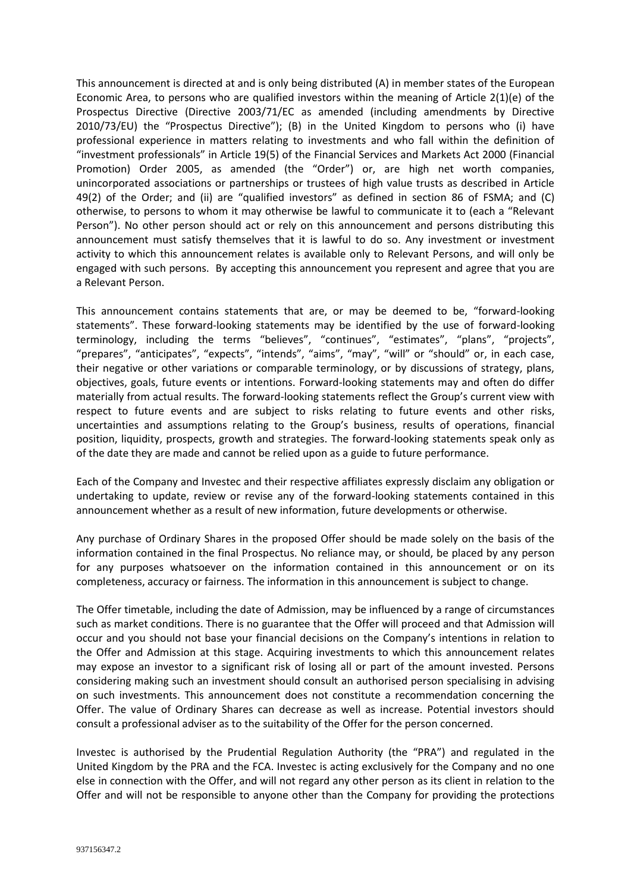This announcement is directed at and is only being distributed (A) in member states of the European Economic Area, to persons who are qualified investors within the meaning of Article 2(1)(e) of the Prospectus Directive (Directive 2003/71/EC as amended (including amendments by Directive 2010/73/EU) the "Prospectus Directive"); (B) in the United Kingdom to persons who (i) have professional experience in matters relating to investments and who fall within the definition of "investment professionals" in Article 19(5) of the Financial Services and Markets Act 2000 (Financial Promotion) Order 2005, as amended (the "Order") or, are high net worth companies, unincorporated associations or partnerships or trustees of high value trusts as described in Article 49(2) of the Order; and (ii) are "qualified investors" as defined in section 86 of FSMA; and (C) otherwise, to persons to whom it may otherwise be lawful to communicate it to (each a "Relevant Person"). No other person should act or rely on this announcement and persons distributing this announcement must satisfy themselves that it is lawful to do so. Any investment or investment activity to which this announcement relates is available only to Relevant Persons, and will only be engaged with such persons. By accepting this announcement you represent and agree that you are a Relevant Person.

This announcement contains statements that are, or may be deemed to be, "forward-looking statements". These forward-looking statements may be identified by the use of forward-looking terminology, including the terms "believes", "continues", "estimates", "plans", "projects", "prepares", "anticipates", "expects", "intends", "aims", "may", "will" or "should" or, in each case, their negative or other variations or comparable terminology, or by discussions of strategy, plans, objectives, goals, future events or intentions. Forward-looking statements may and often do differ materially from actual results. The forward-looking statements reflect the Group's current view with respect to future events and are subject to risks relating to future events and other risks, uncertainties and assumptions relating to the Group's business, results of operations, financial position, liquidity, prospects, growth and strategies. The forward-looking statements speak only as of the date they are made and cannot be relied upon as a guide to future performance.

Each of the Company and Investec and their respective affiliates expressly disclaim any obligation or undertaking to update, review or revise any of the forward-looking statements contained in this announcement whether as a result of new information, future developments or otherwise.

Any purchase of Ordinary Shares in the proposed Offer should be made solely on the basis of the information contained in the final Prospectus. No reliance may, or should, be placed by any person for any purposes whatsoever on the information contained in this announcement or on its completeness, accuracy or fairness. The information in this announcement is subject to change.

The Offer timetable, including the date of Admission, may be influenced by a range of circumstances such as market conditions. There is no guarantee that the Offer will proceed and that Admission will occur and you should not base your financial decisions on the Company's intentions in relation to the Offer and Admission at this stage. Acquiring investments to which this announcement relates may expose an investor to a significant risk of losing all or part of the amount invested. Persons considering making such an investment should consult an authorised person specialising in advising on such investments. This announcement does not constitute a recommendation concerning the Offer. The value of Ordinary Shares can decrease as well as increase. Potential investors should consult a professional adviser as to the suitability of the Offer for the person concerned.

Investec is authorised by the Prudential Regulation Authority (the "PRA") and regulated in the United Kingdom by the PRA and the FCA. Investec is acting exclusively for the Company and no one else in connection with the Offer, and will not regard any other person as its client in relation to the Offer and will not be responsible to anyone other than the Company for providing the protections